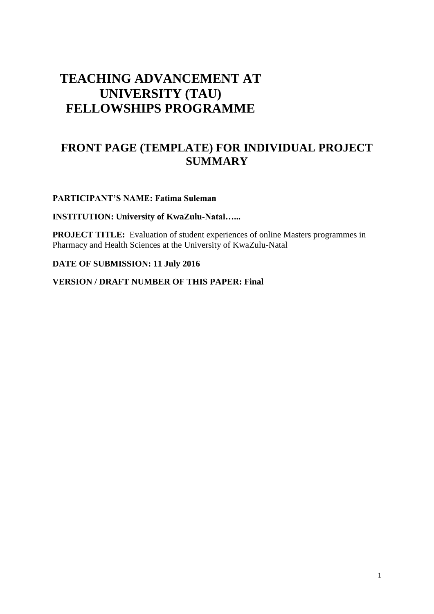# **TEACHING ADVANCEMENT AT UNIVERSITY (TAU) FELLOWSHIPS PROGRAMME**

## **FRONT PAGE (TEMPLATE) FOR INDIVIDUAL PROJECT SUMMARY**

**PARTICIPANT'S NAME: Fatima Suleman**

**INSTITUTION: University of KwaZulu-Natal…...**

**PROJECT TITLE:** Evaluation of student experiences of online Masters programmes in Pharmacy and Health Sciences at the University of KwaZulu-Natal

**DATE OF SUBMISSION: 11 July 2016**

**VERSION / DRAFT NUMBER OF THIS PAPER: Final**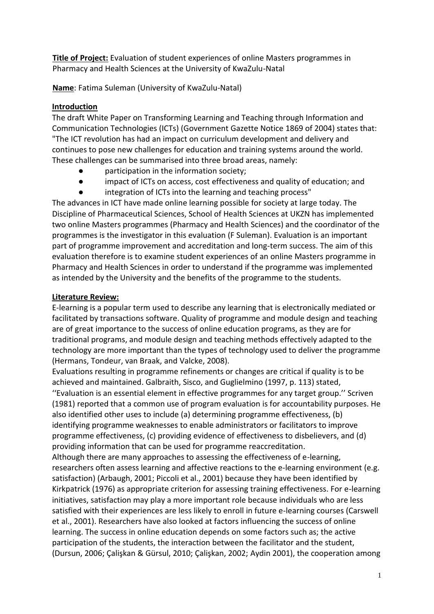**Title of Project:** Evaluation of student experiences of online Masters programmes in Pharmacy and Health Sciences at the University of KwaZulu-Natal

**Name**: Fatima Suleman (University of KwaZulu-Natal)

## **Introduction**

The draft White Paper on Transforming Learning and Teaching through Information and Communication Technologies (ICTs) (Government Gazette Notice 1869 of 2004) states that: "The ICT revolution has had an impact on curriculum development and delivery and continues to pose new challenges for education and training systems around the world. These challenges can be summarised into three broad areas, namely:

- participation in the information society;
- impact of ICTs on access, cost effectiveness and quality of education; and
- integration of ICTs into the learning and teaching process"

The advances in ICT have made online learning possible for society at large today. The Discipline of Pharmaceutical Sciences, School of Health Sciences at UKZN has implemented two online Masters programmes (Pharmacy and Health Sciences) and the coordinator of the programmes is the investigator in this evaluation (F Suleman). Evaluation is an important part of programme improvement and accreditation and long-term success. The aim of this evaluation therefore is to examine student experiences of an online Masters programme in Pharmacy and Health Sciences in order to understand if the programme was implemented as intended by the University and the benefits of the programme to the students.

## **Literature Review:**

E-learning is a popular term used to describe any learning that is electronically mediated or facilitated by transactions software. Quality of programme and module design and teaching are of great importance to the success of online education programs, as they are for traditional programs, and module design and teaching methods effectively adapted to the technology are more important than the types of technology used to deliver the programme (Hermans, Tondeur, van Braak, and Valcke, 2008).

Evaluations resulting in programme refinements or changes are critical if quality is to be achieved and maintained. Galbraith, Sisco, and Guglielmino (1997, p. 113) stated, ''Evaluation is an essential element in effective programmes for any target group.'' Scriven (1981) reported that a common use of program evaluation is for accountability purposes. He also identified other uses to include (a) determining programme effectiveness, (b) identifying programme weaknesses to enable administrators or facilitators to improve programme effectiveness, (c) providing evidence of effectiveness to disbelievers, and (d) providing information that can be used for programme reaccreditation.

Although there are many approaches to assessing the effectiveness of e-learning, researchers often assess learning and affective reactions to the e-learning environment (e.g. satisfaction) (Arbaugh, 2001; Piccoli et al., 2001) because they have been identified by Kirkpatrick (1976) as appropriate criterion for assessing training effectiveness. For e-learning initiatives, satisfaction may play a more important role because individuals who are less satisfied with their experiences are less likely to enroll in future e-learning courses (Carswell et al., 2001). Researchers have also looked at factors influencing the success of online learning. The success in online education depends on some factors such as; the active participation of the students, the interaction between the facilitator and the student, (Dursun, 2006; Çalişkan & Gürsul, 2010; Çalişkan, 2002; Aydin 2001), the cooperation among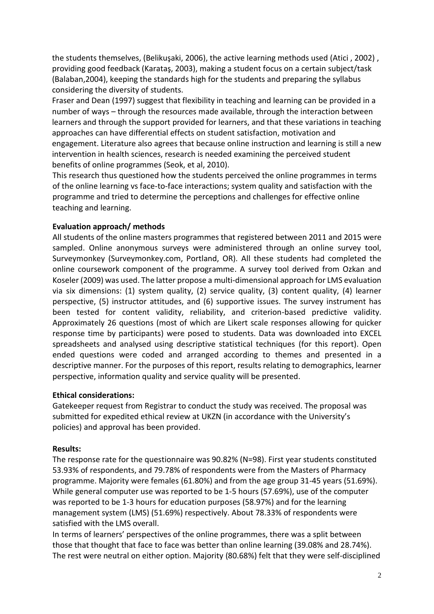the students themselves, (Belikuşaki, 2006), the active learning methods used (Atici , 2002) , providing good feedback (Karataş, 2003), making a student focus on a certain subject/task (Balaban,2004), keeping the standards high for the students and preparing the syllabus considering the diversity of students.

Fraser and Dean (1997) suggest that flexibility in teaching and learning can be provided in a number of ways – through the resources made available, through the interaction between learners and through the support provided for learners, and that these variations in teaching approaches can have differential effects on student satisfaction, motivation and engagement. Literature also agrees that because online instruction and learning is still a new intervention in health sciences, research is needed examining the perceived student benefits of online programmes (Seok, et al, 2010).

This research thus questioned how the students perceived the online programmes in terms of the online learning vs face-to-face interactions; system quality and satisfaction with the programme and tried to determine the perceptions and challenges for effective online teaching and learning.

#### **Evaluation approach/ methods**

All students of the online masters programmes that registered between 2011 and 2015 were sampled. Online anonymous surveys were administered through an online survey tool, Surveymonkey (Surveymonkey.com, Portland, OR). All these students had completed the online coursework component of the programme. A survey tool derived from Ozkan and Koseler (2009) was used. The latter propose a multi-dimensional approach for LMS evaluation via six dimensions: (1) system quality, (2) service quality, (3) content quality, (4) learner perspective, (5) instructor attitudes, and (6) supportive issues. The survey instrument has been tested for content validity, reliability, and criterion-based predictive validity. Approximately 26 questions (most of which are Likert scale responses allowing for quicker response time by participants) were posed to students. Data was downloaded into EXCEL spreadsheets and analysed using descriptive statistical techniques (for this report). Open ended questions were coded and arranged according to themes and presented in a descriptive manner. For the purposes of this report, results relating to demographics, learner perspective, information quality and service quality will be presented.

#### **Ethical considerations:**

Gatekeeper request from Registrar to conduct the study was received. The proposal was submitted for expedited ethical review at UKZN (in accordance with the University's policies) and approval has been provided.

#### **Results:**

The response rate for the questionnaire was 90.82% (N=98). First year students constituted 53.93% of respondents, and 79.78% of respondents were from the Masters of Pharmacy programme. Majority were females (61.80%) and from the age group 31-45 years (51.69%). While general computer use was reported to be 1-5 hours (57.69%), use of the computer was reported to be 1-3 hours for education purposes (58.97%) and for the learning management system (LMS) (51.69%) respectively. About 78.33% of respondents were satisfied with the LMS overall.

In terms of learners' perspectives of the online programmes, there was a split between those that thought that face to face was better than online learning (39.08% and 28.74%). The rest were neutral on either option. Majority (80.68%) felt that they were self-disciplined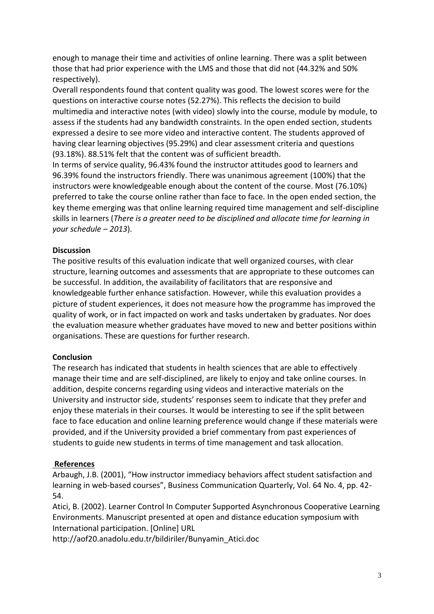enough to manage their time and activities of online learning. There was a split between those that had prior experience with the LMS and those that did not (44.32% and 50% respectively).

Overall respondents found that content quality was good. The lowest scores were for the questions on interactive course notes (52.27%). This reflects the decision to build multimedia and interactive notes (with video) slowly into the course, module by module, to assess if the students had any bandwidth constraints. In the open ended section, students expressed a desire to see more video and interactive content. The students approved of having clear learning objectives (95.29%) and clear assessment criteria and questions (93.18%). 88.51% felt that the content was of sufficient breadth.

In terms of service quality, 96.43% found the instructor attitudes good to learners and 96.39% found the instructors friendly. There was unanimous agreement (100%) that the instructors were knowledgeable enough about the content of the course. Most (76.10%) preferred to take the course online rather than face to face. In the open ended section, the key theme emerging was that online learning required time management and self-discipline skills in learners (*There is a greater need to be disciplined and allocate time for learning in your schedule – 2013*).

### **Discussion**

The positive results of this evaluation indicate that well organized courses, with clear structure, learning outcomes and assessments that are appropriate to these outcomes can be successful. In addition, the availability of facilitators that are responsive and knowledgeable further enhance satisfaction. However, while this evaluation provides a picture of student experiences, it does not measure how the programme has improved the quality of work, or in fact impacted on work and tasks undertaken by graduates. Nor does the evaluation measure whether graduates have moved to new and better positions within organisations. These are questions for further research.

#### **Conclusion**

The research has indicated that students in health sciences that are able to effectively manage their time and are self-disciplined, are likely to enjoy and take online courses. In addition, despite concerns regarding using videos and interactive materials on the University and instructor side, students' responses seem to indicate that they prefer and enjoy these materials in their courses. It would be interesting to see if the split between face to face education and online learning preference would change if these materials were provided, and if the University provided a brief commentary from past experiences of students to guide new students in terms of time management and task allocation.

#### **References**

Arbaugh, J.B. (2001), "How instructor immediacy behaviors affect student satisfaction and learning in web-based courses", Business Communication Quarterly, Vol. 64 No. 4, pp. 42- 54.

Atici, B. (2002). Learner Control In Computer Supported Asynchronous Cooperative Learning Environments. Manuscript presented at open and distance education symposium with International participation. [Online] URL

http://aof20.anadolu.edu.tr/bildiriler/Bunyamin\_Atici.doc